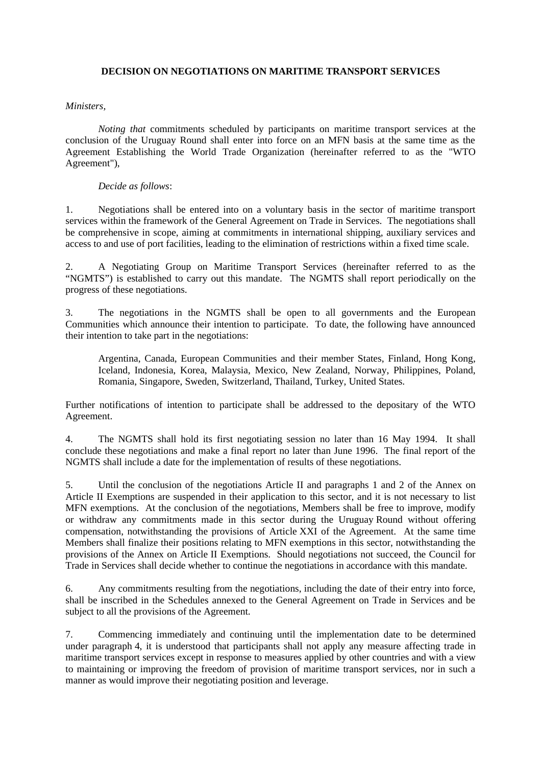## **DECISION ON NEGOTIATIONS ON MARITIME TRANSPORT SERVICES**

## *Ministers,*

*Noting that* commitments scheduled by participants on maritime transport services at the conclusion of the Uruguay Round shall enter into force on an MFN basis at the same time as the Agreement Establishing the World Trade Organization (hereinafter referred to as the "WTO Agreement"),

## *Decide as follows*:

1. Negotiations shall be entered into on a voluntary basis in the sector of maritime transport services within the framework of the General Agreement on Trade in Services. The negotiations shall be comprehensive in scope, aiming at commitments in international shipping, auxiliary services and access to and use of port facilities, leading to the elimination of restrictions within a fixed time scale.

2. A Negotiating Group on Maritime Transport Services (hereinafter referred to as the "NGMTS") is established to carry out this mandate. The NGMTS shall report periodically on the progress of these negotiations.

3. The negotiations in the NGMTS shall be open to all governments and the European Communities which announce their intention to participate. To date, the following have announced their intention to take part in the negotiations:

Argentina, Canada, European Communities and their member States, Finland, Hong Kong, Iceland, Indonesia, Korea, Malaysia, Mexico, New Zealand, Norway, Philippines, Poland, Romania, Singapore, Sweden, Switzerland, Thailand, Turkey, United States.

Further notifications of intention to participate shall be addressed to the depositary of the WTO Agreement.

4. The NGMTS shall hold its first negotiating session no later than 16 May 1994. It shall conclude these negotiations and make a final report no later than June 1996. The final report of the NGMTS shall include a date for the implementation of results of these negotiations.

5. Until the conclusion of the negotiations Article II and paragraphs 1 and 2 of the Annex on Article II Exemptions are suspended in their application to this sector, and it is not necessary to list MFN exemptions. At the conclusion of the negotiations, Members shall be free to improve, modify or withdraw any commitments made in this sector during the Uruguay Round without offering compensation, notwithstanding the provisions of Article XXI of the Agreement. At the same time Members shall finalize their positions relating to MFN exemptions in this sector, notwithstanding the provisions of the Annex on Article II Exemptions. Should negotiations not succeed, the Council for Trade in Services shall decide whether to continue the negotiations in accordance with this mandate.

6. Any commitments resulting from the negotiations, including the date of their entry into force, shall be inscribed in the Schedules annexed to the General Agreement on Trade in Services and be subject to all the provisions of the Agreement.

7. Commencing immediately and continuing until the implementation date to be determined under paragraph 4, it is understood that participants shall not apply any measure affecting trade in maritime transport services except in response to measures applied by other countries and with a view to maintaining or improving the freedom of provision of maritime transport services, nor in such a manner as would improve their negotiating position and leverage.